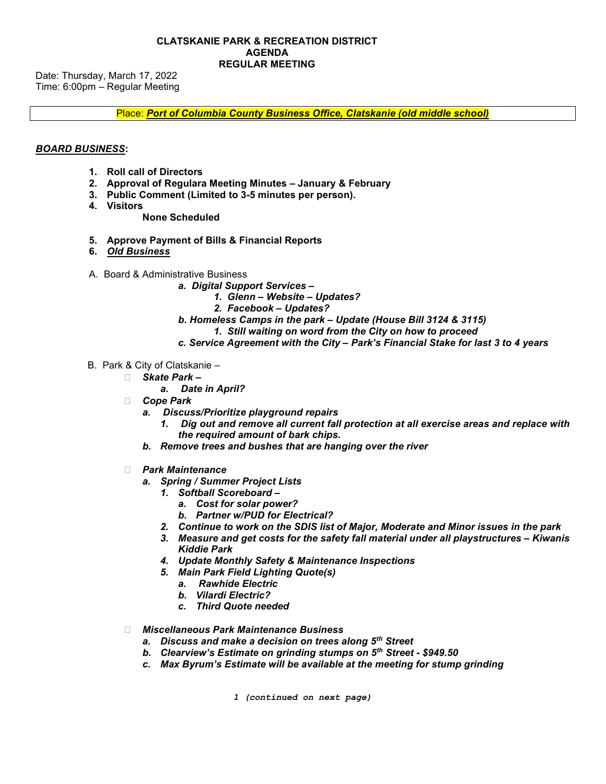Date: Thursday, March 17, 2022 Time: 6:00pm – Regular Meeting

Place: Port of Columbia County Business Office, Clatskanie (old middle school)

## BOARD BUSINESS:

- 1. Roll call of Directors
- 2. Approval of Regulara Meeting Minutes January & February
- 3. Public Comment (Limited to 3-5 minutes per person).
- 4. Visitors

## None Scheduled

- 5. Approve Payment of Bills & Financial Reports
- 6. Old Business
- A. Board & Administrative Business
	- a. Digital Support Services -
		- 1. Glenn Website Updates?
		- 2. Facebook Updates?
	- b. Homeless Camps in the park Update (House Bill 3124 & 3115)
		- 1. Still waiting on word from the City on how to proceed
	- c. Service Agreement with the City Park's Financial Stake for last 3 to 4 years
- B. Park & City of Clatskanie
	- □ Skate Park
		- a. Date in April?
	- **Cope Park** 
		- a. Discuss/Prioritize playground repairs
			- 1. Dig out and remove all current fall protection at all exercise areas and replace with the required amount of bark chips.
		- b. Remove trees and bushes that are hanging over the river
	- □ Park Maintenance
		- a. Spring / Summer Project Lists
			- 1. Softball Scoreboard
				- a. Cost for solar power?
				- b. Partner w/PUD for Electrical?
			- 2. Continue to work on the SDIS list of Major, Moderate and Minor issues in the park
			- 3. Measure and get costs for the safety fall material under all playstructures Kiwanis Kiddie Park
			- 4. Update Monthly Safety & Maintenance Inspections
			- 5. Main Park Field Lighting Quote(s)
				- a. Rawhide Electric
				- b. Vilardi Electric?
				- c. Third Quote needed

□ Miscellaneous Park Maintenance Business

- a. Discuss and make a decision on trees along  $5<sup>th</sup>$  Street
- b. Clearview's Estimate on grinding stumps on  $5<sup>th</sup>$  Street \$949.50
- c. Max Byrum's Estimate will be available at the meeting for stump grinding

1 (continued on next page)